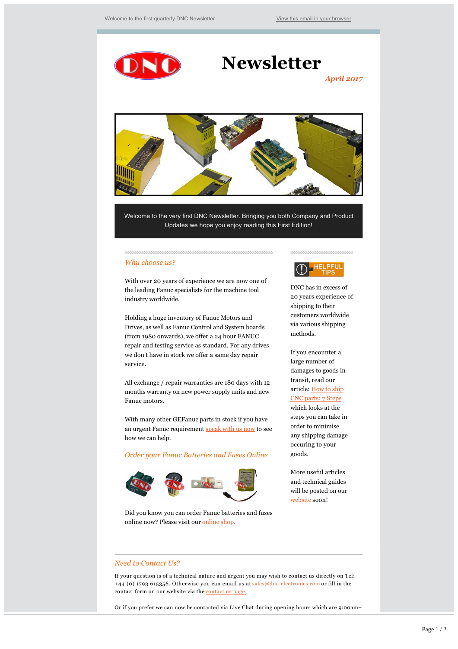

# **Newsletter**

*April 2017*



Welcome to the very first DNC Newsletter. Bringing you both Company and Product Updates we hope you enjoy reading this First Edition!

## *Why choose us?*

With over 20 years of experience we are now one of the leading Fanuc specialists for the machine tool industry worldwide.

Holding a huge inventory of Fanuc Motors and Drives, as well as Fanuc Control and System boards (from 1980 onwards), we offer a 24 hour FANUC repair and testing service as standard. For any drives we don't have in stock we offer a same day repair service.

All exchange / repair warranties are 180 days with 12 months warranty on new power supply units and new Fanuc motors.

With many other GEFanuc parts in stock if you have an urgent Fanuc requirement [speak with us now](http://www.dnc-electronics.co.uk/contact/) to see how we can help.

## *Order your Fanuc Batteries and Fuses Online*



Did you know you can order Fanuc batteries and fuses online now? Please visit our [online shop.](http://www.dnc-electronics.co.uk/product-category/fanuc-battery/)

#### yuuuuuuuuuuuuuuuu



DNC has in excess of 20 years experience of shipping to their customers worldwide via various shipping methods.

If you encounter a large number of damages to goods in transit, read our [article: How to ship](http://www.dnc-electronics.co.uk/how-to-ship-cnc-parts/) CNC parts: 7 Steps which looks at the steps you can take in order to minimise any shipping damage occuring to your goods.

More useful articles and technical guides will be posted on our [website](http://www.dnc-electronics.com) [s](http://www.dnc-electronics.co.uk/)oon!

## *Need to Contact Us?*

If your question is of a technical nature and urgent you may wish to contact us directly on Tel: +44 (0) 1793 615356. Otherwise you can email us at sales@dnc-electronics.com or fill in the contact form on our website via the [contact us page.](http://www.dnc-electronics.co.uk/contact/)

Or if you prefer we can now be contacted via Live Chat during opening hours which are 9:00am–